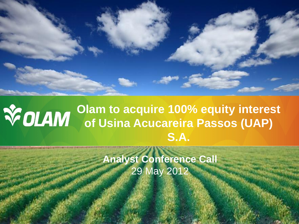### **Olam to acquire 100% equity interest of Usina Acucareira Passos (UAP) S.A.**

**Analyst Conference Call** 29 May 2012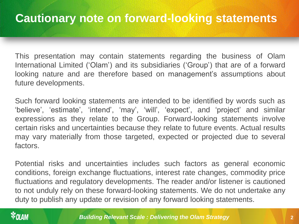This presentation may contain statements regarding the business of Olam International Limited ('Olam') and its subsidiaries ('Group') that are of a forward looking nature and are therefore based on management's assumptions about future developments.

Such forward looking statements are intended to be identified by words such as 'believe', 'estimate', 'intend', 'may', 'will', 'expect', and 'project' and similar expressions as they relate to the Group. Forward-looking statements involve certain risks and uncertainties because they relate to future events. Actual results may vary materially from those targeted, expected or projected due to several factors.

Potential risks and uncertainties includes such factors as general economic conditions, foreign exchange fluctuations, interest rate changes, commodity price fluctuations and regulatory developments. The reader and/or listener is cautioned to not unduly rely on these forward-looking statements. We do not undertake any duty to publish any update or revision of any forward looking statements.

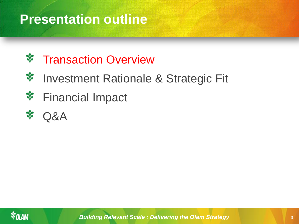### **Presentation outline**

#### ❖ Transaction Overview

- ❖ Investment Rationale & Strategic Fit
- ❖ Financial Impact



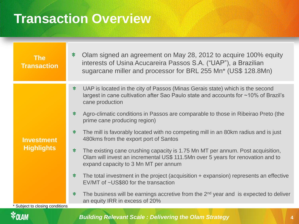### **Transaction Overview**

| <b>The</b><br><b>Transaction</b>                                                     | ❖ | Olam signed an agreement on May 28, 2012 to acquire 100% equity<br>interests of Usina Acucareira Passos S.A. ("UAP"), a Brazilian<br>sugarcane miller and processor for BRL 255 Mn* (US\$ 128.8Mn)        |
|--------------------------------------------------------------------------------------|---|-----------------------------------------------------------------------------------------------------------------------------------------------------------------------------------------------------------|
| <b>Investment</b><br><b>Highlights</b><br><sup>*</sup> Subject to closing conditions | ❖ | UAP is located in the city of Passos (Minas Gerais state) which is the second<br>largest in cane cultivation after Sao Paulo state and accounts for ~10% of Brazil's<br>cane production                   |
|                                                                                      | ❖ | Agro-climatic conditions in Passos are comparable to those in Ribeirao Preto (the<br>prime cane producing region)                                                                                         |
|                                                                                      | ❖ | The mill is favorably located with no competing mill in an 80km radius and is just<br>480kms from the export port of Santos                                                                               |
|                                                                                      | ❖ | The existing cane crushing capacity is 1.75 Mn MT per annum. Post acquisition,<br>Olam will invest an incremental US\$ 111.5Mn over 5 years for renovation and to<br>expand capacity to 3 Mn MT per annum |
|                                                                                      | ❖ | The total investment in the project (acquisition + expansion) represents an effective<br>EV/MT of ~US\$80 for the transaction                                                                             |
|                                                                                      | ❖ | The business will be earnings accretive from the $2nd$ year and is expected to deliver<br>an equity IRR in excess of 20%                                                                                  |

### **VOLAM**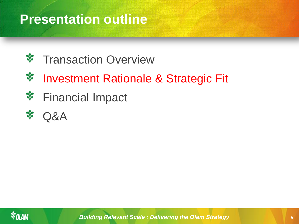### **Presentation outline**

- Transaction Overview ❖
- ❖ Investment Rationale & Strategic Fit
- ❖ Financial Impact
- ❖ Q&A

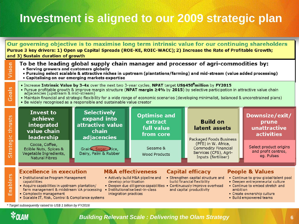### **Investment is aligned to our 2009 strategic plan**

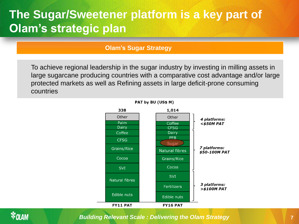### **The Sugar/Sweetener platform is a key part of Olam's strategic plan**

#### **Olam's Sugar Strategy**

To achieve regional leadership in the sugar industry by investing in milling assets in large sugarcane producing countries with a comparative cost advantage and/or large protected markets as well as Refining assets in large deficit-prone consuming countries



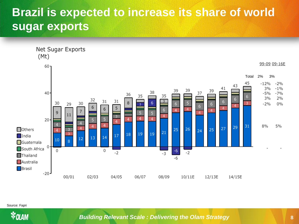### **Brazil is expected to increase its share of world sugar exports**



Source: Fapri

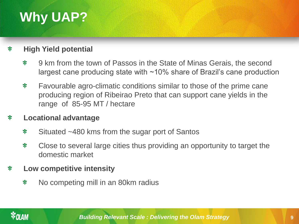## **Why UAP?**

#### **High Yield potential**  $\mathbf{\hat{x}}$

- ❖ 9 km from the town of Passos in the State of Minas Gerais, the second largest cane producing state with  $\sim$ 10% share of Brazil's cane production
- ❖ Favourable agro-climatic conditions similar to those of the prime cane producing region of Ribeirao Preto that can support cane yields in the range of 85-95 MT / hectare

#### ❖ **Locational advantage**

- ❖ Situated ~480 kms from the sugar port of Santos
- ❖ Close to several large cities thus providing an opportunity to target the domestic market

#### **Low competitive intensity** ❖

 $\mathbf{\hat{x}}$ No competing mill in an 80km radius

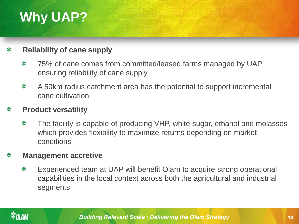## **Why UAP?**

#### $\mathbf{\hat{x}}$ **Reliability of cane supply**

- $\mathbf{\hat{x}}$ 75% of cane comes from committed/leased farms managed by UAP ensuring reliability of cane supply
- A 50km radius catchment area has the potential to support incremental ❖ cane cultivation

#### $\mathbf{\hat{x}}$ **Product versatility**

 $\mathbf{\hat{x}}$ The facility is capable of producing VHP, white sugar, ethanol and molasses which provides flexibility to maximize returns depending on market conditions

#### **Management accretive** ❖

❖ Experienced team at UAP will benefit Olam to acquire strong operational capabilities in the local context across both the agricultural and industrial segments

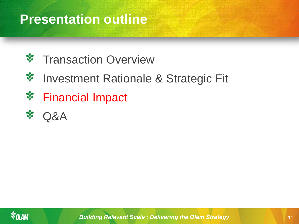### **Presentation outline**

- ❖ Transaction Overview
- ❖ Investment Rationale & Strategic Fit
- ❖ Financial Impact



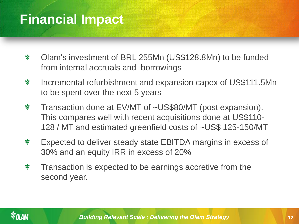### **Financial Impact**

- ❖ Olam's investment of BRL 255Mn (US\$128.8Mn) to be funded from internal accruals and borrowings
- Incremental refurbishment and expansion capex of US\$111.5Mn ❖ to be spent over the next 5 years
- Transaction done at EV/MT of ~US\$80/MT (post expansion). ❖ This compares well with recent acquisitions done at US\$110- 128 / MT and estimated greenfield costs of ~US\$ 125-150/MT
- Expected to deliver steady state EBITDA margins in excess of ❖ 30% and an equity IRR in excess of 20%
- Transaction is expected to be earnings accretive from the ❖ second year.